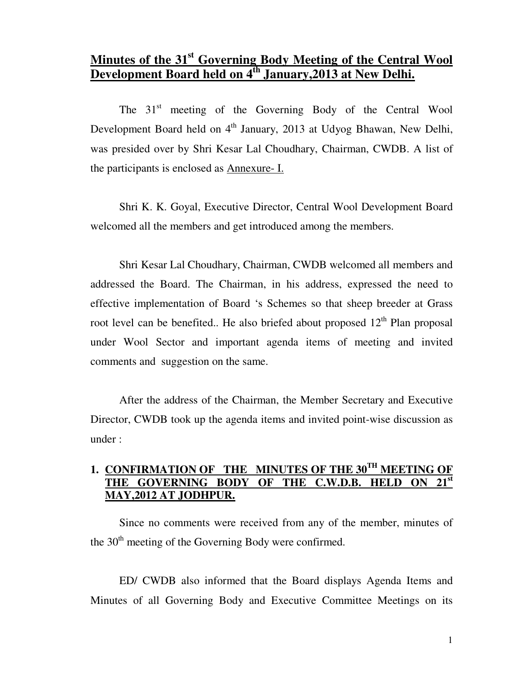## **Minutes of the 31st Governing Body Meeting of the Central Wool Development Board held on 4th January,2013 at New Delhi.**

The  $31<sup>st</sup>$  meeting of the Governing Body of the Central Wool Development Board held on 4<sup>th</sup> January, 2013 at Udyog Bhawan, New Delhi, was presided over by Shri Kesar Lal Choudhary, Chairman, CWDB. A list of the participants is enclosed as Annexure- I.

 Shri K. K. Goyal, Executive Director, Central Wool Development Board welcomed all the members and get introduced among the members.

 Shri Kesar Lal Choudhary, Chairman, CWDB welcomed all members and addressed the Board. The Chairman, in his address, expressed the need to effective implementation of Board 's Schemes so that sheep breeder at Grass root level can be benefited.. He also briefed about proposed  $12<sup>th</sup>$  Plan proposal under Wool Sector and important agenda items of meeting and invited comments and suggestion on the same.

 After the address of the Chairman, the Member Secretary and Executive Director, CWDB took up the agenda items and invited point-wise discussion as under :

### **1. CONFIRMATION OF THE MINUTES OF THE 30TH MEETING OF THE GOVERNING BODY OF THE C.W.D.B. HELD ON 21st MAY,2012 AT JODHPUR.**

 Since no comments were received from any of the member, minutes of the  $30<sup>th</sup>$  meeting of the Governing Body were confirmed.

 ED/ CWDB also informed that the Board displays Agenda Items and Minutes of all Governing Body and Executive Committee Meetings on its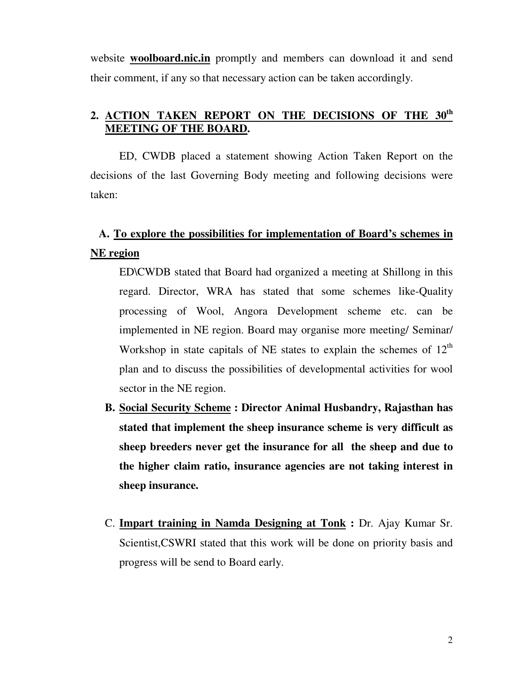website **woolboard.nic.in** promptly and members can download it and send their comment, if any so that necessary action can be taken accordingly.

### **2. ACTION TAKEN REPORT ON THE DECISIONS OF THE 30th MEETING OF THE BOARD.**

 ED, CWDB placed a statement showing Action Taken Report on the decisions of the last Governing Body meeting and following decisions were taken:

# **A. To explore the possibilities for implementation of Board's schemes in NE region**

ED\CWDB stated that Board had organized a meeting at Shillong in this regard. Director, WRA has stated that some schemes like-Quality processing of Wool, Angora Development scheme etc. can be implemented in NE region. Board may organise more meeting/ Seminar/ Workshop in state capitals of NE states to explain the schemes of  $12<sup>th</sup>$ plan and to discuss the possibilities of developmental activities for wool sector in the NE region.

- **B. Social Security Scheme : Director Animal Husbandry, Rajasthan has stated that implement the sheep insurance scheme is very difficult as sheep breeders never get the insurance for all the sheep and due to the higher claim ratio, insurance agencies are not taking interest in sheep insurance.**
- C. **Impart training in Namda Designing at Tonk :** Dr. Ajay Kumar Sr. Scientist,CSWRI stated that this work will be done on priority basis and progress will be send to Board early.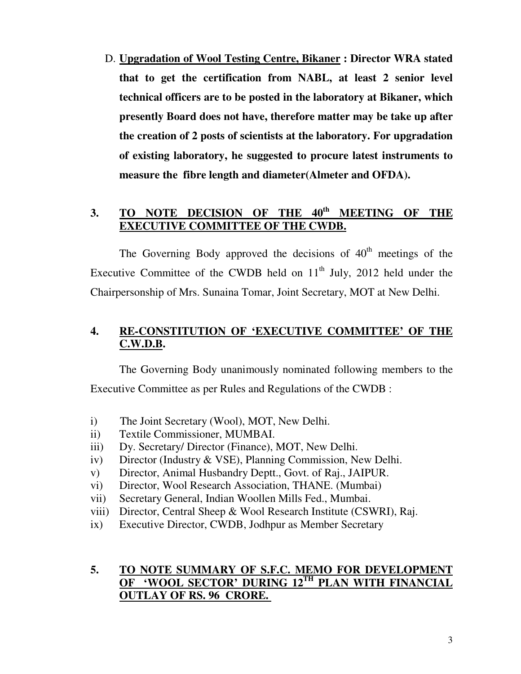D. **Upgradation of Wool Testing Centre, Bikaner : Director WRA stated that to get the certification from NABL, at least 2 senior level technical officers are to be posted in the laboratory at Bikaner, which presently Board does not have, therefore matter may be take up after the creation of 2 posts of scientists at the laboratory. For upgradation of existing laboratory, he suggested to procure latest instruments to measure the fibre length and diameter(Almeter and OFDA).**

#### **3. TO NOTE DECISION OF THE 40th MEETING OF THE EXECUTIVE COMMITTEE OF THE CWDB.**

The Governing Body approved the decisions of  $40<sup>th</sup>$  meetings of the Executive Committee of the CWDB held on  $11<sup>th</sup>$  July, 2012 held under the Chairpersonship of Mrs. Sunaina Tomar, Joint Secretary, MOT at New Delhi.

#### **4. RE-CONSTITUTION OF 'EXECUTIVE COMMITTEE' OF THE C.W.D.B.**

 The Governing Body unanimously nominated following members to the Executive Committee as per Rules and Regulations of the CWDB :

- i) The Joint Secretary (Wool), MOT, New Delhi.
- ii) Textile Commissioner, MUMBAI.
- iii) Dy. Secretary/ Director (Finance), MOT, New Delhi.
- iv) Director (Industry & VSE), Planning Commission, New Delhi.
- v) Director, Animal Husbandry Deptt., Govt. of Raj., JAIPUR.
- vi) Director, Wool Research Association, THANE. (Mumbai)
- vii) Secretary General, Indian Woollen Mills Fed., Mumbai.
- viii) Director, Central Sheep & Wool Research Institute (CSWRI), Raj.
- ix) Executive Director, CWDB, Jodhpur as Member Secretary

#### **5. TO NOTE SUMMARY OF S.F.C. MEMO FOR DEVELOPMENT OF 'WOOL SECTOR' DURING 12TH PLAN WITH FINANCIAL OUTLAY OF RS. 96 CRORE.**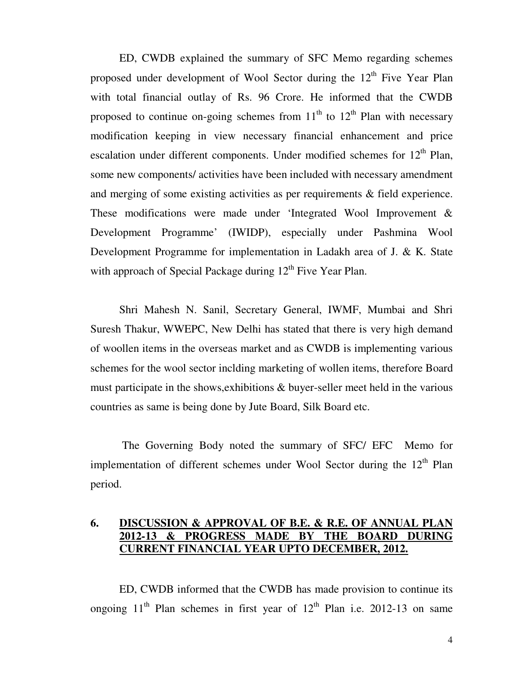ED, CWDB explained the summary of SFC Memo regarding schemes proposed under development of Wool Sector during the  $12<sup>th</sup>$  Five Year Plan with total financial outlay of Rs. 96 Crore. He informed that the CWDB proposed to continue on-going schemes from  $11<sup>th</sup>$  to  $12<sup>th</sup>$  Plan with necessary modification keeping in view necessary financial enhancement and price escalation under different components. Under modified schemes for  $12<sup>th</sup>$  Plan, some new components/ activities have been included with necessary amendment and merging of some existing activities as per requirements & field experience. These modifications were made under 'Integrated Wool Improvement & Development Programme' (IWIDP), especially under Pashmina Wool Development Programme for implementation in Ladakh area of J. & K. State with approach of Special Package during  $12<sup>th</sup>$  Five Year Plan.

Shri Mahesh N. Sanil, Secretary General, IWMF, Mumbai and Shri Suresh Thakur, WWEPC, New Delhi has stated that there is very high demand of woollen items in the overseas market and as CWDB is implementing various schemes for the wool sector inclding marketing of wollen items, therefore Board must participate in the shows,exhibitions & buyer-seller meet held in the various countries as same is being done by Jute Board, Silk Board etc.

 The Governing Body noted the summary of SFC/ EFC Memo for implementation of different schemes under Wool Sector during the  $12<sup>th</sup>$  Plan period.

#### **6. DISCUSSION & APPROVAL OF B.E. & R.E. OF ANNUAL PLAN 2012-13 & PROGRESS MADE BY THE BOARD DURING CURRENT FINANCIAL YEAR UPTO DECEMBER, 2012.**

 ED, CWDB informed that the CWDB has made provision to continue its ongoing  $11<sup>th</sup>$  Plan schemes in first year of  $12<sup>th</sup>$  Plan i.e. 2012-13 on same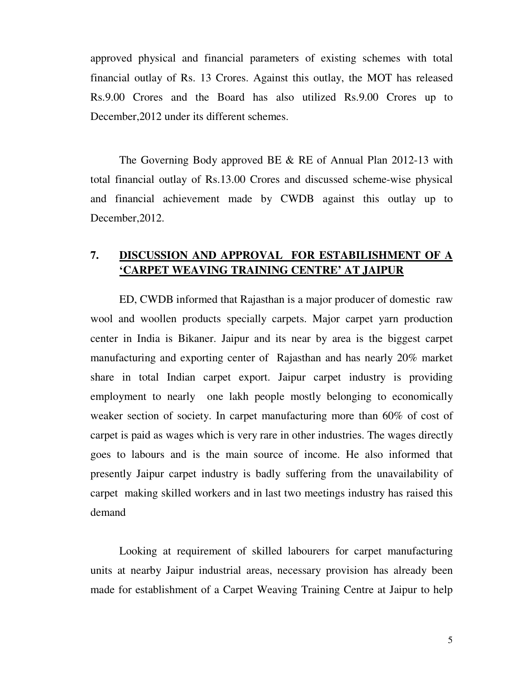approved physical and financial parameters of existing schemes with total financial outlay of Rs. 13 Crores. Against this outlay, the MOT has released Rs.9.00 Crores and the Board has also utilized Rs.9.00 Crores up to December,2012 under its different schemes.

 The Governing Body approved BE & RE of Annual Plan 2012-13 with total financial outlay of Rs.13.00 Crores and discussed scheme-wise physical and financial achievement made by CWDB against this outlay up to December,2012.

### **7. DISCUSSION AND APPROVAL FOR ESTABILISHMENT OF A 'CARPET WEAVING TRAINING CENTRE' AT JAIPUR**

ED, CWDB informed that Rajasthan is a major producer of domestic raw wool and woollen products specially carpets. Major carpet yarn production center in India is Bikaner. Jaipur and its near by area is the biggest carpet manufacturing and exporting center of Rajasthan and has nearly 20% market share in total Indian carpet export. Jaipur carpet industry is providing employment to nearly one lakh people mostly belonging to economically weaker section of society. In carpet manufacturing more than 60% of cost of carpet is paid as wages which is very rare in other industries. The wages directly goes to labours and is the main source of income. He also informed that presently Jaipur carpet industry is badly suffering from the unavailability of carpet making skilled workers and in last two meetings industry has raised this demand

Looking at requirement of skilled labourers for carpet manufacturing units at nearby Jaipur industrial areas, necessary provision has already been made for establishment of a Carpet Weaving Training Centre at Jaipur to help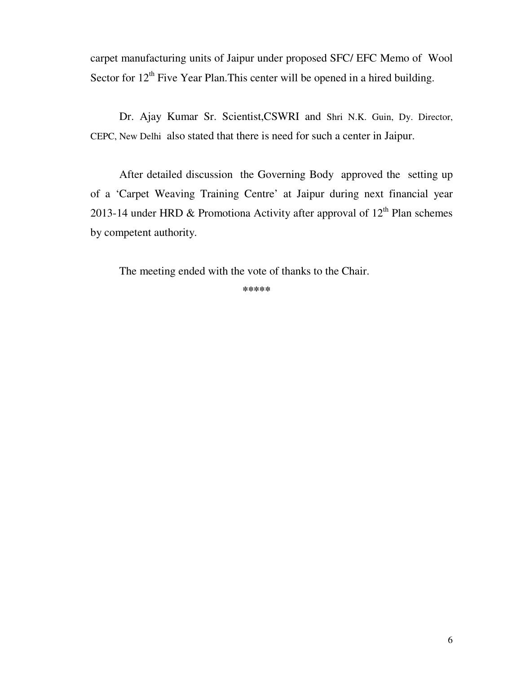carpet manufacturing units of Jaipur under proposed SFC/ EFC Memo of Wool Sector for  $12<sup>th</sup>$  Five Year Plan. This center will be opened in a hired building.

Dr. Ajay Kumar Sr. Scientist,CSWRI and Shri N.K. Guin, Dy. Director, CEPC, New Delhi also stated that there is need for such a center in Jaipur.

After detailed discussion the Governing Body approved the setting up of a 'Carpet Weaving Training Centre' at Jaipur during next financial year 2013-14 under HRD & Promotiona Activity after approval of  $12<sup>th</sup>$  Plan schemes by competent authority.

The meeting ended with the vote of thanks to the Chair.

**\*\*\*\*\***